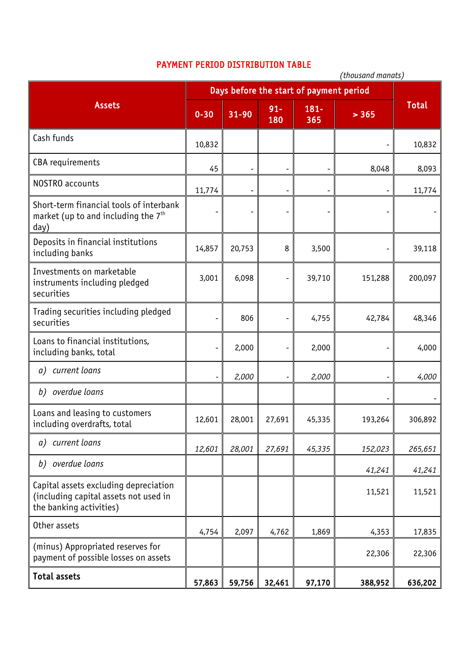## PAYMENT PERIOD DISTRIBUTION TABLE

|                                                                                                           | (thousand manats)                       |                          |               |                              |         |         |
|-----------------------------------------------------------------------------------------------------------|-----------------------------------------|--------------------------|---------------|------------------------------|---------|---------|
| <b>Assets</b>                                                                                             | Days before the start of payment period |                          |               |                              |         |         |
|                                                                                                           | $0 - 30$                                | $31 - 90$                | $91 -$<br>180 | $181 -$<br>365               | > 365   | Total   |
| Cash funds                                                                                                | 10,832                                  |                          |               |                              |         | 10,832  |
| CBA requirements                                                                                          | 45                                      |                          |               |                              | 8,048   | 8,093   |
| <b>NOSTRO</b> accounts                                                                                    | 11,774                                  | $\overline{\phantom{0}}$ |               | $\qquad \qquad \blacksquare$ |         | 11,774  |
| Short-term financial tools of interbank<br>market (up to and including the $7th$<br>day)                  |                                         |                          |               |                              |         |         |
| Deposits in financial institutions<br>including banks                                                     | 14,857                                  | 20,753                   | 8             | 3,500                        |         | 39,118  |
| Investments on marketable<br>instruments including pledged<br>securities                                  | 3,001                                   | 6,098                    |               | 39,710                       | 151,288 | 200,097 |
| Trading securities including pledged<br>securities                                                        | -                                       | 806                      |               | 4,755                        | 42,784  | 48,346  |
| Loans to financial institutions,<br>including banks, total                                                |                                         | 2,000                    |               | 2,000                        |         | 4,000   |
| current loans<br>a)                                                                                       |                                         | 2,000                    |               | 2,000                        |         | 4,000   |
| b) overdue loans                                                                                          |                                         |                          |               |                              |         |         |
| Loans and leasing to customers<br>including overdrafts, total                                             | 12,601                                  | 28,001                   | 27,691        | 45,335                       | 193,264 | 306,892 |
| current loans<br>a)                                                                                       | 12,601                                  | 28,001                   | 27,691        | 45,335                       | 152,023 | 265,651 |
| b) overdue loans                                                                                          |                                         |                          |               |                              | 41,241  | 41,241  |
| Capital assets excluding depreciation<br>(including capital assets not used in<br>the banking activities) |                                         |                          |               |                              | 11,521  | 11,521  |
| Other assets                                                                                              | 4,754                                   | 2,097                    | 4,762         | 1,869                        | 4,353   | 17,835  |
| (minus) Appropriated reserves for<br>payment of possible losses on assets                                 |                                         |                          |               |                              | 22,306  | 22,306  |
| Total assets                                                                                              | 57,863                                  | 59,756                   | 32,461        | 97,170                       | 388,952 | 636,202 |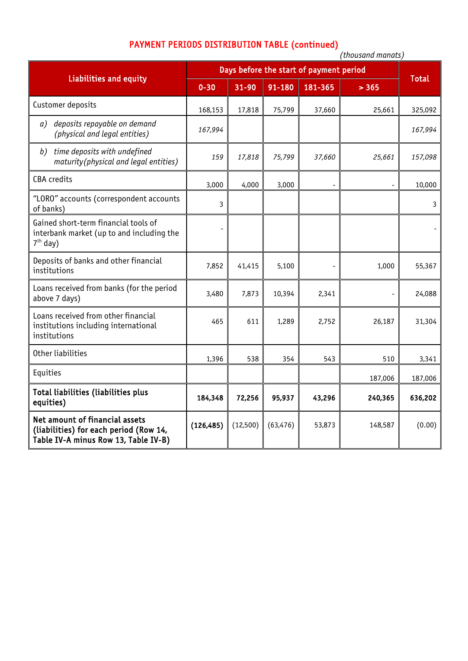## PAYMENT PERIODS DISTRIBUTION TABLE (continued)

|                                                                                                                  | (tnousana manats)                       |          |           |         |         |              |
|------------------------------------------------------------------------------------------------------------------|-----------------------------------------|----------|-----------|---------|---------|--------------|
| <b>Liabilities and equity</b>                                                                                    | Days before the start of payment period |          |           |         |         |              |
|                                                                                                                  | $0 - 30$                                | 31-90    | 91-180    | 181-365 | > 365   | <b>Total</b> |
| Customer deposits                                                                                                | 168,153                                 | 17,818   | 75,799    | 37,660  | 25,661  | 325,092      |
| deposits repayable on demand<br>a)<br>(physical and legal entities)                                              | 167,994                                 |          |           |         |         | 167,994      |
| time deposits with undefined<br>b)<br>maturity(physical and legal entities)                                      | 159                                     | 17,818   | 75,799    | 37,660  | 25,661  | 157,098      |
| <b>CBA</b> credits                                                                                               | 3,000                                   | 4,000    | 3,000     |         |         | 10,000       |
| "LORO" accounts (correspondent accounts<br>of banks)                                                             | 3                                       |          |           |         |         | 3            |
| Gained short-term financial tools of<br>interbank market (up to and including the<br>$7th$ day)                  |                                         |          |           |         |         |              |
| Deposits of banks and other financial<br>institutions                                                            | 7,852                                   | 41,415   | 5,100     |         | 1,000   | 55,367       |
| Loans received from banks (for the period<br>above 7 days)                                                       | 3,480                                   | 7,873    | 10,394    | 2,341   | ٠       | 24,088       |
| Loans received from other financial<br>institutions including international<br>institutions                      | 465                                     | 611      | 1,289     | 2,752   | 26,187  | 31,304       |
| Other liabilities                                                                                                | 1,396                                   | 538      | 354       | 543     | 510     | 3,341        |
| Equities                                                                                                         |                                         |          |           |         | 187,006 | 187,006      |
| Total liabilities (liabilities plus<br>equities)                                                                 | 184,348                                 | 72,256   | 95,937    | 43,296  | 240,365 | 636,202      |
| Net amount of financial assets<br>(liabilities) for each period (Row 14,<br>Table IV-A minus Row 13, Table IV-B) | (126, 485)                              | (12,500) | (63, 476) | 53,873  | 148,587 | (0.00)       |

*(thousand manats)*